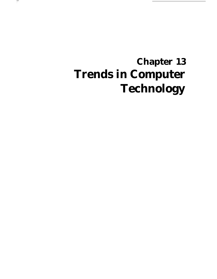# **Chapter 13 Trends in Computer Technology**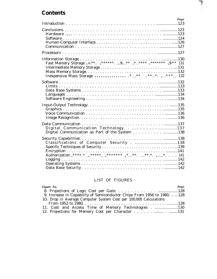### **Contents**

| Page                                    |
|-----------------------------------------|
|                                         |
|                                         |
|                                         |
|                                         |
|                                         |
|                                         |
| Digital Communication Technology137     |
| Classifications of Computer Security138 |

### LIST OF FIGURES

| Figure No.                                                                | Page |
|---------------------------------------------------------------------------|------|
|                                                                           |      |
| 9. Increase in Capability of Semiconductor Chips From 1956 to 1980.   128 |      |
| 10. Drop in Average Computer System Cost per 100,000 Calculations         |      |
|                                                                           |      |
| 11. Cost and Access Time of Memory Technologies130                        |      |
|                                                                           |      |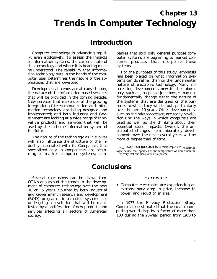# **Introduction**

Computer technology is advancing rapidly, even explosively. To assess the impacts of information systems, the current state of this technology and where it is heading must be understood. The capability that information technology puts in the hands of the computer user determines the nature of the applications that are developed.

Developmental trends are already shaping the nature of the information-based services that will be provided in the coming decade. New services that make use of the growing integration of telecommunication and information technology are being designed and implemented; and both industry and Government are looking at a wide range of innovative products and services that will be used by the in-home information system of the future.

The nature of the technology as it evolves will also influence the structure of the industry associated with it. Companies that specialized only in components are beginning to market computer systems; companies that sold only general purpose computer systems are beginning to market consumer products that incorporate these systems.

For the purposes of this study, emphasis has been placed on what information systems can do rather than on the fundamental nature of electronic technology. Many interesting developments now in the laboratory, such as Josephson junctions, \* may not fundamentally change either the nature of the systems that are designed or the purposes to which they will be put, particularly over the next 10 years. Other developments, such as the microprocessor, are today revolutionizing the ways in which computers are used as well as the thinking about their potential social impacts. Overall, the anticipated changes from laboratory developments over the next several years will be more of degree than of form.

 $*_{A}$  Josephson junction is a microscopic-size electronic logic device that operates at the temperature of liquid helium. I t is very fast and uses very little power.

# **Conclusions**

Several conclusions can be drawn from OTA's analysis of the trends in the development of computer technology over the next 10 or 15 years. Spurred by both industrial and Government research and development (R&D) programs, information systems are undergoing a revolution that will be manifested-by a proliferation of new products and Commission estimated that the cost of comservices affecting all sectors of American puting would drop by a factor of more than society. 100 during the 20-year period from *1970* to

#### Hardware

Computer electronics are experiencing an extraordinary drop in price, increase in power, and reduction in size.

In *1977,* the Privacy Protection Study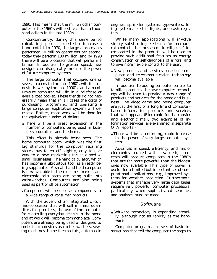1990. This means that the million dollar computer of the 1960's will cost less than a thousand dollars in the late 1980's.

Concomitantly, during this same period calculating speed is expected to increase a hundredfold. In 1970, the largest processors performed 10 million operations per second, today they perform 100 million, and by 1990 there will be a processor that will perform 1 billion. In addition to greater speed, new designs can also greatly increase the power of future computer systems.

The large computer that occupied one or several rooms in the late 1960's will fit in a desk drawer by the late 1990's, and a medium-size computer will fit in a briefcase or even a coat pocket. These trends do not necessarily mean that in all cases the costs of purchasing, programing, and operating a large computer application system will decrease. Rather, more work will be done for the equivalent number of dollars.

• There will be a great expansion in the number of computers being used in business, education, and the home.

This effect is already being seen. The home computer boom, which was the first big stimulus for the computer retailing stores, has fallen off slightly, only to give way to a new marketing thrust aimed **at** small businesses. The hand calculator, which has become a ubiquitous tool, is already being supplanted. A small hand-held computer is now available in the consumer market, and electronic calculators are being built into wristwatches. Computers are also being used as part of office automation.

● Computers will be used as components in a wide range of consumer products.

With the advent of an integrated circuit microprocessor that will sell in mass quantities for \$1 or less, the use of the computer for controlling everyday devices in the home and at work will become commonplace. Computers are already being used or designed to control such devices as clothes washers, sewing machines, home thermostats, automobile

engines, sprinkler systems, typewriters, filing systems, electric lights, and cash registers.

While many applications will involve simply substituting electronic for mechanical control, the increased "intelligence" incorporated in the products will be used to provide such additional features as energy conservation or self-diagnosis of errors, and to give more flexible control to the user.

● New products and services based on computer and telecommunication technology will become available.

In addition to adding computer control to familiar products, the new computer technology will be used to provide a new range of products and services for the home and business. The video game and home computer are just the first of a long line of computerbased information products and services that will appear. (Electronic funds transfer and electronic mail, two examples of information services, are examined in separate OTA reports.)

● There will be a continuing, rapid increase in the power of very large computer systems.

Advances in speed, efficiency, and microelectronics coupled with new design concepts will produce computers in the 1980's that are far more powerful than the biggest ones now available. This type of power is useful for a limited but important set of computational applications, e.g., improved systems for weather prediction. Furthermore, systems that manage very large data bases require very powerful computer processors, particularly when sophisticated searches and analyses must be made.

#### Software

● Software technology is expanding steadily, although not as rapidly as the hardware.

Computer programs are sets of basic instructions that tell the computer the steps to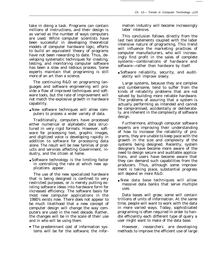take in doing a task. Programs can contain millions of instructions, and their design is as varied as the number of ways computers are used. While computer scientists have been successful in developing theoretical models of computer hardware logic, efforts to build an equivalent theory of programs have not been rewarding to date. Thus, developing systematic techniques for creating, testing, and monitoring computer software has been a slow and tedious process. Some experts maintain that programing is still more of an art than a science.

The continuing R&D on programing languages and software engineering will provide a flow of improved techniques and software tools, but the rate of improvement will not match the explosive growth in hardware capability.

● New software techniques will allow computers to process a wider variety of data.

Traditionally, computers have processed either numerical or alphabetic data structured in very rigid formats. However, software for processing text, graphic images, and digitized voice is developing rapidly in addition to software for processing data alone. The result will be new families of products and services affecting Government, industry, and the citizen at home.

● Software technology is the limiting factor in controlling the rate at which new applications appear.

The use of the new specialized hardware that is being designed is confined to very restricted purposes, or is merely putting existing software ideas into hardware form for increased efficiency. The software basis for most new computer applications in the 1980's exists now. There does not appear to be much likelihood that a new concept of computer design will change the way computers are used in the next decade. Rather, the changes will be in the scale of their use and in who will be using them.

• The predominant cost of information systems will be for the software; the infor-

mation industry will become increasingly labor intensive.

This conclusion follows directly from the last two statements coupled with the labor intensive nature of programing. This trend will influence the marketing practices of computer manufacturers, who will increasingly find profit in the sales of complete systems—combinations of hardware and software—rather than hardware by itself.

● Software reliability, security, and auditability will improve slowly.

Large systems, because they are complex and cumbersome, tend to suffer from the kinds of reliability problems that are not solved by building more reliable hardware. The problems of assuring that a system is actually performing as intended and cannot be compromised, accidentally or deliberately, are inherent in the complexity of software design.

Furthermore, although computer software experts are improving their understanding of how to increase the reliability of programs, they are unable to keep pace with the growth in the size and complexity of the systems being designed. Recently, system designers have become more aware of the need to design secure and auditable applications, and users have become aware that they can demand such capabilities from the producers. Thus, although some improvement is taking place, substantial progress will depend on more R&D.

● New data base techniques will allow massive data banks that serve multiple uses.

Data bases will grow; some will contain trillions of units of information. At the same time, people will want to work with the data in more varied ways. Today, sophisticated programing is often required in order to handle efficiently each different type of query a user might want to make of the data base.

However, researchers are developing methods to improve the efficient use of large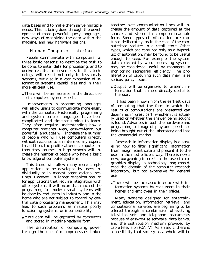data bases and to make them serve multiple needs. This is being done through the development of more powerful query languages, new ways of organizing the data within the machine, and new hardware designs.

●

#### Human-Computer Interface

People communicate with computers for three basic reasons: to describe the task to be done, to enter data for processing, and to derive results. Improvements in this technology will result not only in less costly systems, but also in a vast expansion of information systems capabilities and in their more efficient use.

● There will be an increase in the direct use of computers by nonexperts.

Improvements in programing languages will allow users to communicate more easily with the computer. Historically, programing and system control languages have been complicated and time-consuming to learn. They often require understanding how a computer operates. New, easy-to-learn but powerful languages will increase the number of people who will use computers directly without recourse to an intermediary expert. In addition, the proliferation of computer introductory courses in high schools will increase the number of people who have a basic knowledge of computer systems.

This trend will allow many more simple applications to be developed by users individually or in modest organizational settings. However, in larger organizations, or for applications that require integration with other systems, it will mean that much of the programing for modern small systems will be done by end users in industry and in the home who are not subject to control by central data processing management. This may lead to such problems as misuse, poorly functioning systems, or incompatibility.

• More data will be captured by computers and stored in machine-readable form.

The distribution of computing power through the use of microprocessors linked together over communication lines will increase the amount of data captured at the source and stored in computer-readable form. Some types of information are captured deliberately, as in the case of the computerized register in a retail store. Other types, which are captured only as a byproduct of automation, may be found to be useful enough to keep. For example, the system data collected by word processing systems may be considered useful by managers in monitoring secretarial efficiency. The proliferation of capturing such data may raise serious policy issues.

● Output will be organized to present information that is more directly useful to the user.

It has been known from the earliest days of computing that the form in which the results of computations are presented can determine, in great part, whether it is actually used or whether the answer being sought is found. Advances in both the hardware and programing for image display and speech are being brought out of the laboratory and into the commercial market.

Research in information display is discovering how to filter significant information from insignificant data and present it to the user in the most efficient way. There is now a new, burgeoning interest in the use of color graphics display, a technology long considered the domain of the computer research laboratory, but too expensive for general use.

● There will be increased interface with information systems by consumers in their homes and employees in their offices.

Many systems designed for entertainment, education, information retrieval, and computational services are beginning to be offered through a combination of evolving television sets and telephone instruments because of easy-to-use software, data banks, and the distribution medium provided by cable television (CATV). As a result, there is a possibility that society as a whole will be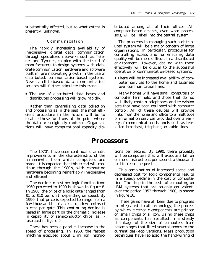substantially affected, but to what extent is presently unknown.

#### Communicatio n

The rapidly increasing availability of inexpensive digital data communication through specialized networks such as Telenet and Tymnet, coupled with the trend of manufacturers to design systems with elaborate communication hardware and software built in, are motivating growth in the use of distributed, communication-based systems. New satellite-based data communication services will further stimulate this trend.

• The use of distributed data bases and distributed processing will grow rapidly.

Rather than centralizing data collection and processing as in the past, the most efficient procedure in the future will be to localize these functions at the point where the data are originally captured. Organizations will have computational capacity distributed among all of their offices. All computer-based devices, even word processors, will be linked into the central system.

The problems in managing such a distributed system will be a major concern of large organizations. In particular, procedures for controlling access and for ensuring data quality will be more difficult in a distributed environment. However, dealing with them effectively will be crucial to the successful operation of communication-based systems.

• There will be increased availability of computer services to the home and business over communication lines.

Many homes will have small computers or computer terminals, and those that do not will likely contain telephones and television sets that have been equipped with computer control. All of these devices will provide links from the home and office to a multitude of information services provided over a variety of communication channels such as television broadcast, telephone, or cable lines.

### **Processors**

The 1970's have seen continual dramatic improvements in the characteristics of the components from which computers are made. It is expected that this trend will continue through the 1980's, with computing hardware becoming remarkably inexpensive and efficient.

The decline in cost per logic function from 1960 projected to 1990 is shown in figure 8. In 1960, the price of a logic gate ranged from \$1 to \$10 per unit, depending on speed. By 1990, that price is expected to range from a few thousandths of a cent to a few tenths of a cent per gate. This continuing decline is based in large part on the dramatic increase in capability of semiconductor chips, as illustrated in figure 9.

There has been a parallel increase in the speed of processing. In 1960, the fastest machine executed about 1 million instructions per second. By 1990, there probably will be computers that will execute a billion or more instructions per second, a thousandfold increase in speed.

This combination of increased speed and decreased cost for logic components results in a steady decline in the cost of computation. The drop in the costs of computing on IBM systems that are roughly equivalent, over the period 1952 through 1980, is shown in figure 10.

These gains have all been due to progress in integrated circuit technology, the process by which electronic components are printed on small chips of silicon. Using these chips as components has resulted in a steady shrinkage of the size of computers from assemblages that filled several rooms to the current desk-top versions. Mass production techniques have replaced the hand-wiring of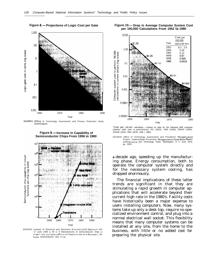**Figure 8.— Projections of Logic Cost per Gate**



SOURCE Office of Technology Assessment and Privacy Protection Study Commission

**Figure 9.— Increase in Capability of Semiconductor Chips From 1956 to 1980**



SOURCE Institute of Electrical and Electronic Engineers *IEEE* Spectrum VOI 17 June 1980 p 48 U S Manufactures of semiconductor chips In cl ude f i rms such as Intel Motorola Texas Inst rum en Is Rockwel 1, Na tional Semiconductor and Zilog





"Cost per 100,000 calculation IS based on data for the following IBM computer systems (with year In parentheses) 701 (1952), 7090 (1058), 360/50 (1964), 370/168 (1970), 3033 (1976), 4300 ( 1980)

SOURCE Office of Technology Assessment and President's Reorganization Project, *Federal* Da*ta Processing Reorganization Study Basic* Report<br>o*f the* Science and Technology Team, Washington, D. C. June 1978, pp 2930

**a** decade ago, speeding up the manufacturing phase. Energy consumption, both to operate the computer system directly and for the necessary system cooling, has dropped enormously.

The financial implications of these latter trends are significant in that they are stimulating a rapid growth in computer applications that will accelerate beyond their current high rate in the 1980's. Facility costs have historically been a major expense to users installing computers. Now, many systems take up only a desk top, require no specialized environment control, and plug into a normal electrical wall socket. This flexibility means that many computer systems can be installed at any site, from the home to the business, with little or no added cost for preparing the physical site.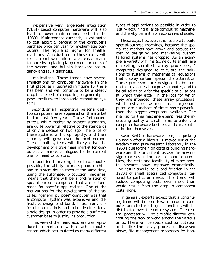Inexpensive very large-scale integration (VLSI) based computer hardware will also lead to lower maintenance costs in the 1980's. Maintenance currently is estimated to cost about 5 percent of the computer's purchase price per year for medium-size computers. The figure is higher for smaller machines. A reduction in these costs will result from lower failure rates, easier maintenance by replacing larger modular units of the system, and built-in hardware redundancy and fault diagnosis.

Implications: These trends have several implications for computer hardware. In the first place, as illustrated in figure 10, there has been and will continue to be a steady drop in the cost of computing on general purpose, medium- to large-scale computing systems.

Second, small inexpensive, personal desktop computers have appeared on the market in the last few years. These "microcomputers, while modest by present standards, are quite powerful relative to the standards of only a decade or two ago. The price of these systems will drop rapidly, and their capacity will grow over the next decade. These small systems will likely drive the development of a true mass market for computers, a market analogous to the current one for hand calculators.

In addition to making the microcomputer possible, the ability to mass-produce chips and to custom design them at the same time, using the automated production machines, means that there will be a proliferation of special-purpose computers that are custommade for specific applications. One of the motivations for the development of the socalled "general purpose" computer was that a computer system was expensive and difficult to design and build. Thus, many different user markets had to be identified for a single design in order to provide a sufficient customer base to justify its production.

This view of the manufacturers was reproduced in miniature within each computer center, which accumulated as many different types of applications as possible in order to justify acquiring a large computing machine, and thereby benefit from economies of scale.

These days, however, it is feasible to build special-purpose machines, because the specialized markets have grown and because the cost of designing and marketing custom tailored systems has dropped. As an example, a variety of firms (some quite small) are marketing so-called "array processors, " computers designed to calculate the solutions to systems of mathematical equations that display certain special characteristics. These processors are designed to be connected to a general purpose computer, and to be called on only for the specific calculations at which they excel. In the jobs for which they are intended, these array processors, which cost about as much as a large computer, are hundreds of times more powerful than the biggest computers available. The market for this machine exemplifies the increasing ability of small firms to enter the computer hardware business and carve out a niche for themselves.

Basic R&D in hardware design is picking up again after a hiatus. It moved out of the academic and pure research laboratory in the 1960's due to the high costs of building hardware and the lack of enthusiasm for new design concepts on the part of manufacturers. Now, the costs and feasibility of experimental research have improved dramatically. The result should be a proliferation in the 1980's of small specialized computers, tailored to particular needs. This trend will reduce computing costs even more than would result from the drop in component costs alone.

In general, experts expect that a continuing trend will be seen toward modular computer architecture. Logical functions will be distributed over the entire system. The central processor will be a traffic director controlling the flow of work among the various units. There will be specialized computation units like the array processor discussed above, file management processors for han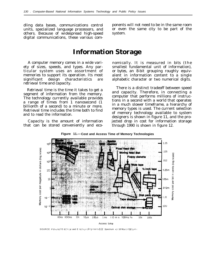units, specialized language processors, and or even the same city to be part of the others. Because of widespread high-speed system. digital communications, these various com-

dling data bases, communications control ponents will not need to be in the same room

### **Information Storage**

A computer memory comes in a wide variety of sizes, speeds, and types. Any particular system uses an assortment of memories to support its operation. Its most significant design characteristics are *retrieval time* and *capacity.*

*Retrieval time* is the time it takes to get a segment of information from the memory. The technology currently available provides a range of times from 1 nanosecond (1 billionth of a second) to a minute or more. Retrieval time includes the time both to find and to read the information.

*Capacity* is the amount of information that can be stored conveniently and economically. It is measured in *bits* (the smallest fundamental unit of information), or *bytes,* an 8-bit grouping roughly equivalent in information content to a single alphabetic character or two numerical digits.

There is a distinct tradeoff between speed and capacity. Therefore, in connecting a computer that performs millions of instructions in a second with a world that operates in a much slower timeframe, a hierarchy of memory types is used. The current selection of memory technology available to system designers is shown in figure 11, and the projected drop in cost for information storage through 1990 is shown in figure 12.



**Figure 11.—Cost and Access Time of Memory Technologies**

SOURCE Instruteof E ectrical and E lectronic Engineers IEEE Spectrum vol 18 March 1981p 4 I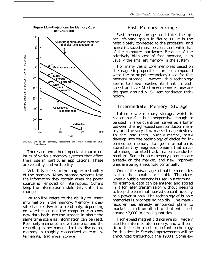**Figure 12. —Projections for Memory Cost per Character**



SOURCE: Off Ice of Technology Assessment and Privacy Protect Ion Study Commission

There are two other important characteristics of various memory systems that affect their use in particular applications. These are *volatility* and *writability.*

*Volatility* refers to the long-term stability of the memory. Many storage systems lose the information they contain when the power source is removed or interrupted. Others keep the information indefinitely until it is changed.

*Writability* refers to the ability to insert information in the memory. Memory is classified as read/write or read only, depending on whether or not the computer can copy new data back into the storage in about the same time scale as information can be read. Read only memories are written once and the recording is permanent. In this discussion, memory is roughly categorized as *fast, intermediate,* and *mass storage.*

#### Fast Memory Storage

Fast memory storage constitutes the upper left-hand group in figure 11. It is the most closely connected to the processor, and hence its speed must be consistent with that of the computer hardware. Because of the relatively high cost of fast memory, it is usually the smallest memory in the system.

For many years, core memories based on the magnetic properties of an iron compound were the principal technology used for fast memory storage. However, this technology seems to have reached its limit in cost, speed, and size. Most new memories now are designed around VLSI semiconductor technology.

#### Intermediate Memory Storage

*Intermediate memory* storage, which is reasonably fast but inexpensive enough to be used in large quantities, serves as a buffer between the high-speed semiconductor memory and the very slow mass storage devices. In the long term, *bubble memory* m a y develop into the technology of choice for intermediate memory storage. Information is stored as tiny magnetic domains that circulate along a printed track in a semiconductor medium. Some bubble memory products are already on the market, and new improved ones are being announced continually.

One of the advantages of bubble memories is that the domains are stable. Therefore, when a bubble memory is used in a terminal, for example, data can be entered and stored in it for later transmission without needing to keep the terminal hooked up continuously to a power supply. The technology of bubble memories is progressing rapidly. One manufacturer has already announced plans to market a million-bit chip that will cost around \$2,000 in small quantities.

High-speed magnetic disks are still widely used for intermediate memory, and will continue to be the most important technology for this decade. Steady improvements will be announced throughout the 1980's. Some ex-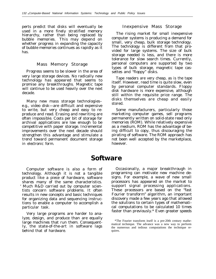perts predict that disks will eventually be used in a more finely stratified memory hierarchy, rather than being replaced by bubble memories. This may depend on whether progress in expanding the capacity of bubble memories continues as rapidly as it has.

#### Mass Memory Storage

Progress seems to be slower in the area of very large storage devices. No radically new technology has appeared that seems to promise any breakthroughs. Magnetic tape will continue to be used heavily over the next decade.

Many new mass storage technologies– e.g., video disk—are difficult and expensive to write, but very cheap and easy to reproduce and read. Erasing and rewriting are often impossible. Costs per bit of storage for archival applications are low enough to be competitive with paper storage. Incremental improvements over the next decade should strengthen this advantage and stimulate a trend toward permanent document storage in electronic form.

#### Inexpensive Mass Storage

The rising market for small inexpensive computer systems is producing a demand for small, very cheap, bulk storage technology. The technology is different from that provided for large systems. The size of bulk storage needed is less, and there is more tolerance for slow search times. Currently, personal computers are supported by two types of bulk storage, magnetic tape cassettes and "floppy" disks.

Tape readers are very cheap, as is the tape itself. However, read time is quite slow, even by personal computer standards. Floppy disk hardware is more expensive, although still within the requisite price range. The disks themselves are cheap and easily stored.

Some manufacturers, particularly those marketing computer games, sell programs permanently written on solid-state read only memories (ROM). While relatively expensive as a medium, ROM has the advantage of being difficult to copy, thus discouraging the pirating of software. The ROM approach has not been well accepted by the marketplace, however.

## **Software**

Computer software is also a form of technology. Although it is not a tangible product like a piece of hardware, software shares many of the same characteristics. Much R&D carried out by computer scientists concern software problems. It often results in new concepts and basic techniques for organizing data and sequencing instructions to enable a computer to accomplish a particular task.

Very large programs are harder to analyze, design, and produce than are equally large machines that run them. Consequently, the state-of-the-art in software lags behind that of hardware.

Occasionally, a major breakthrough in programing can motivate new machine designs. For example, a wave of new small processors has appeared on the market to support signal processing applications. These processors are based on the "fast Fourier transform" algorithm, an important discovery made a few years ago that allowed the solutions to certain types of mathematical computations to be calculated 10 times faster than previously.\* Even greater speeds

<sup>\*</sup>The Fourier transform itself is a pre-20th century mathematical technique. The advance was a new way to perform the numerous and tedious computations the technique requires.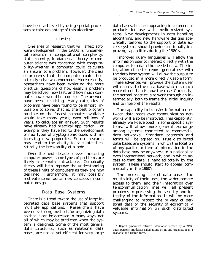have been achieved by using special processors to take advantage of this algorithm.

#### Limits

One area of research that will affect software development in the 1980's is fundamental research in computational complexity. Until recently, fundamental theory in computer science was concerned with computability–whether a computer could calculate an answer to a problem. However, the class of problems that the computer could theoretically solve was enormous. More recently, researchers have been exploring the more practical questions of how easily a problem may be solved, how fast, and how much computer power would be required. The answers have been surprising. Many categories of problems have been found to be almost impossible to solve, that is, the best program possible on the fastest computer available would take many years, even millions of years, to calculate an answer. Such results have already had practical application. For example, they have led to the development of new types of cryptographic codes with interesting new properties. Future research may lead to the ability to calculate theoretically the breakability of a code.

Over the next decade of ever increasing computer power, some types of problems are likely to remain intractable. Complexity theory will help improve the understanding of these limits of computers as they are now designed. Furthermore, it may possibly motivate some radical new concepts in computer design.

#### Data Base Systems

There is a trend toward the use of large integrated data base systems that support multiple applications. Researchers have been developing methods for organizing data so that it can be accessed in many ways, not all of which may be predicted when the system is designed. Some of the most general data structures, such as relational data bases, are not as yet efficient for very large

data bases, but are appearing in commercial products for use with medium-sized systems. New developments in data handling algorithms, and new hardware designs specifically tailored to the support of data access systems, should provide continually improving capabilities during the 1980's.

.

Improved query languages will allow the information user to interact directly with the computer to obtain the needed data. The integration of better report generators\* with the data base system will allow the output to be produced in a more directly usable form. These advances will provide the system user with access to the data base which is much more direct than is now the case. Currently, the normal practice is to work through an intermediary, both to frame the initial inquiry and to interpret the results.

The capability to transfer information between data bases over communication networks will also be improved. This capability, already well-developed in some specific systems, will allow more general exchange among systems connected to commercial data networks. Standard protocols and forms will be agreed on. True distributed data bases are systems in which the location of any particular item of information in the data base may be anywhere in a national or even international network, and in which access to that data is handled totally by the system. These should start to appear commercially in the 1980's,

The increasing size of data bases, the multiplicity of their uses, the wider remote access to them, and their integration over telecommunication lines will all present problems in preserving the security and integrity of the information. It will be more challenging to protect the privacy of personal data or the security of economically valuable information on such distributed systems.

<sup>\*</sup> Report generators retrieve information needed by a manager, perform moderate calculations on it, and organize it in a readable and usable form.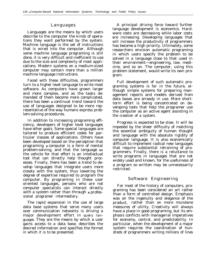#### Languages

*Languages* are the means by which users describe to the computer the kinds of operations they want performed by the system. *Machine language* is the set of instructions that is wired into the computer. Although some machine language programing is still done, it is very difficult and inefficient to use due to the size and complexity of most applications. Modern systems on a medium-sized computer may contain more than a million machine language instructions.

Faced with these difficulties, programmers turn to a *higher level language* to write most software. As computers have grown larger and more complex, and as the tasks demanded of them become more complicated, there has been **a** continual trend toward the use of languages designed to be more representative of the way humans express problem-solving procedures.

In addition to increasing programing efficiency, developers of higher level languages have other goals. Some special languages are tailored to produce efficient codes for particular classes of applications. Others have been developed based on the perception that programing **a** computer is a form of mental problem-solving, and that the language **as** the vehicle for that effort is an intellectual tool that can directly help thought processes. Finally, there has been a trend to develop languages that integrate users more closely with the system, thus lowering the degree of expertise required to program the computer. By programing in these user oriented languages, persons who are not computer specialists can interact directly with a system rather than through **a** professional programer intermediary.

The rapid expansion in the use of large data base systems that serve many users over communication networks is driving a major development effort in *query languages.* They are the means by which a user gains access to a data base, describes the desired information and specifies the format in which it is to be presented.

A principal driving force toward further language development is economics. Hardware costs are decreasing while labor costs are increasing. Developing languages that will increase the productivity of programmers has become a high priority. Ultimately, some researchers envision automatic programing in which users specify the problem to be solved in a language close to that used in their environment—engineering, law, medicine, and so on. The computer, using this problem statement, would write its own program.

Full development of such automatic programing systems is far in the future, although simple systems for preparing management reports and models derived from data bases are already in use. More shortterm effort is being concentrated on developing tools that help the programer use the computer as an active agent assisting in the creation of a system.

Progress is expected to be slow. It will be impeded by the sheer difficulty of matching the essential ambiguity of human thought and language with the absolute rigidity of computer language. It is also economically difficult to implement radical new languages that require substantial retraining of programmers. Finally, there is a reluctance to write programs in languages that are not widely used and known, for the usefulness of a program so written may be unnecessarily restricted.

#### Software Engineering

For most of the history of computers, programing has been considered an art rather than a form of controlled design. Emphasis was on the ingenuity and elegance of the product, rather than on more mundane measures of utility. Creativity will always have a place in good programing, but its emphasis conflicts with managerial imperatives for economy, control, and predictability. In particular, when the development of a major system requires the coordination of hundreds of programmers writing millions of lines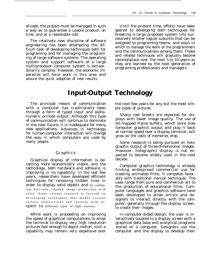of code, the project must be managed in such a way as to guarantee a usable product, on time, and at a reasonable cost.

The relatively new discipline of software engineering has been attempting the difficult task of developing techniques both for programing and for managing the programing of large software systems. The operating system and support software of a large multiprocessor computer system is extraordinarily complex. However, the economic imperative will force work in this area and assure the quick adoption of new results.

Until the present time, efforts have been geared to developing both techniques for breaking a large proposed system into successively smaller logical subunits that can be assigned to programing teams, and ways in which to manage the work of the programmers and the communications among them. These and related techniques will gradually become commonplace over the next *5* to 10 years as they are learned by the next generation of programing professionals and managers.

# **Input-Output Technology**

The principal means of communication with a computer has traditionally been through a form of typed input and alphanumeric printed output. Although this type of communication will continue to dominate in the near future, it is inadequate for many new applications. Advances in technology for human-computer interaction will change the way in which computers are used by many people.

#### Graphics

Graphical display of information is becoming more economically viable, and the technology, both hardware and software, is improving in its capability. In the last few years, researchers have developed efficient techniques for removing hidden lines in order to display solid objects and for combining half-tone, shaded image production with color. Some current research is focused on developing techniques that model various surface reflectivities and textures with respect to different types of light sources.

While work is proceeding on improving the speed of graphical computations to allow the terminal to display very high resolution pictures fast enough to depict motion, such a capability may remain very expensive over

the next few years for any but the most simple types of pictures.

Sharp cost breaks are expected for displays with lower image quality. The use of bit-mapped frame buffers, which store slow computer graphics output and play it back at normal speed over a display terminal, will grow as the costs of memories drop.

Some research is being pursued on holographic output of three-dimensional images. However, holographic display is not expected to become widely used in the next decade.

Computer graphics technology is already finding widespread commercial use for creating animated films. It competes favorably with traditional manual techniques. The uses range from pure and commercial art to the production of educational films. Computer languages and graphics software have been developed to allow artists and designers to interact directly with the computer, generally through the display screen, to create their images.

In computer-aided design, the user is interactively coupled to a display screen with a graphical data base and analytical programs stored on a computer. Designers use the computer and the display to develop their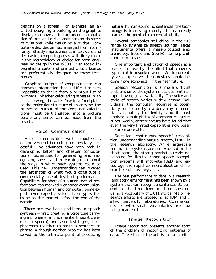designs on a screen. For example, an  $a_r$ chitect designing a building on the graphics display can have an instantaneous computation of cost, and a civil engineer can do stress calculations while designing a bridge. Computer-aided design has emerged from its infancy. Steady improvements in software and decreasing computing costs will likely make it the methodology of choice for most engineering design in the 1980's. Even today, integrated circuits and printed circuit boards are preferentially designed by these techniques.

Graphical output of computer data can transmit information that is difficult or even impossible to derive from a printout list of numbers. Whether calculating stresses in an airplane wing, the water flow in a flood plain, or the molecular structure of an enzyme, the numerical output of the computer calculations must be translated into a picture before any sense can be made from the results.

#### Voice Communication

Voice communication with computers is on the verge of becoming commercially successful. The advances have been both in developing better and cheaper computational techniques for generating and recognizing speech and in learning more about the ways in which such systems could be used. This new understanding has lowered the estimates of what would constitute a commercially useful level of performance. Capabilities far short of a human level of performance can markedly enhance communication between human and computer. Some experts even expect a voice-driven typewriter to be on the market before the end of the decade.

There are two basic problems in speech synthesis—first, creating a voice tone carrying a phoneme (a fundamental linguistic element of speech), and second, stringing these phonemes together to make a sentence or phrase. Although neither problem has been solved to the ultimate point of producing natural human-sounding sentences, the technology is improving rapidly. It has already reached the point of commercial utility.

Several companies sell chips in the \$10 range to synthesize speech sounds. Texas Instruments offers a mass-produced electronic toy, Speak and Spell® , to help children learn to spell.

One important application of speech is a reader for use by the blind that converts typed text into spoken words. While currently very expensive, these devices should become more economical in the near future.

Speech recognition is a more difficult problem, since the system must deal with an input having great variability. The voice and style of speech varies widely among individuals; the computer recognize is potentially confronted by a wider array of potential vocabulary to identify; and it must analyze a multiplicity of grammatical structures. Again, entrepreneurs have found that even the very limited capabilities now possible are marketable.

So-called "continuous speech" recognition, understanding natural speech, is still in the research laboratory. While large-scale commercial systems are not expected in the short term, the strong market already developing for limited range speech recognition systems will motivate R&D and encourage the rapid commercialization of research results as they appear.

The best performance to date in a research laboratory environment has been shown by a system that can recognize sentences 91 percent of the time from multiple speakers using a vocabulary of 1,011 words. Major research efforts are proceeding at IBM and **at a** few university laboratories. Commercial devices with small vocabularies are now being marketed.

#### Image Recognition

Image recognition presents another form of the problem of recognizing patterns of data. The state-of-the-art is at a similar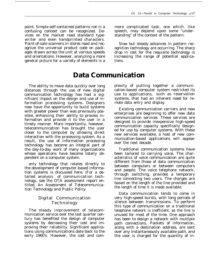point. Simple self-contained patterns not in a confusing context can be recognized. Devices on the market read standard typewriter and even handprinted characters. Point-of-sale scanners in stores read and recognize the universal product code on packages drawn across the unit at various speeds and orientations. However, analyzing a more general picture for a variety of elements is a

**Data Communication**

The ability to move data quickly over long distances through the use of new digital communication technology has had a significant impact on the design and use of information processing systems. Designers now have the opportunity to build systems with greater power than was previously possible, enhancing their ability to process information and provide it to the user in a timely manner. More importantly, however, telecommunication has brought the user closer to the computer by allowing direct interaction with the processing system. As a result, the use of information processing technology has become an integral part of the day-to-day work of many organizations whose operations have become totally dependent on a computer system.

only technology that relates directly to the development of computer-based information systems is discussed here. (For a detailed analysis of communication technology, see the OTA assessment report entitled, *An Assessment of Telecommunication Technology and Public Policy.*

### Digital Communication Technology

The steady improvement of telecommunication service over the last quarter century has benefited the design of computer systems by decreasing their cost and improving their reliability. Significant applications using communications date back to the early 1960's. However, the cost and commore complicated task, one which, like speech, may depend upon some "understanding" of the context of the pattern.

Slow but steady advances in pattern recognition technology are occurring. The sharp drop in cost for the requisite technology is increasing the range of potential applications.

plexity of putting together a communication-based computer system restricted its use to applications, such as reservation systems, that had an inherent need for remote data entry and display.

Existing communication carriers and new enterprises are beginning to offer new data communication services. These services are designed to provide inexpensive high-speed communication capacity specifically designed for use by computer systems. With these new services available, a host of new communication-based applications will appear over the next decade.

Traditional communication systems have been tailored to carrying voice. The characteristics of voice communication are quite different from those of data communication between computers or between computers and people. The voice telephone network, through switching, provides a temporary line connecting two users. The charges are based on the length of the line provided and the length of time it is made available.

Data communication tends to come in very high-speed bursts, with long periods of silence between transmissions. To perform this type of communication on a traditional telephone network is inefficient, as the line is unused for most of the time. One approach has been to design a network with multiple path connections. Packets of information, along with a destination address, are sent over any instantaneously available path, and the user is charged for the quantity of in-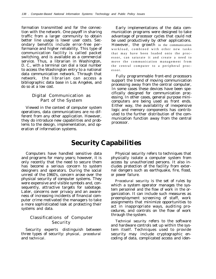formation transmitted and for the connection with the network. One payoff in sharing traffic from a larger community to obtain better line usage is lower user costs. Secondary benefits include error-free performance and higher reliability. This type of communication facility is called packet switching, and is available as a commercial service. Thus, a librarian in Washington, D. C., with a terminal can dial a local number to access the Washington entry to a national data communication network. Through that network, the librarian can access a bibliographic data base in Los Angeles, and do so at a low cost.

### Digital Communication as Part of the System

Viewed in the context of computer system operations, data communications are no different from any other application. However, they do introduce new capabilities and problems to the design, implementation, and operation of information systems.

Early implementations of the data communication programs were designed to take advantage of processor cycles that could not be used productively by other applications. However, the growth in the communication workload, combined with other new tasks that may have been loaded onto the processor, can saturate it and create a need to move the communication management from the central computer to a peripheral processor.

Fully programmable front-end processors support the trend of moving communication processing away from the central computer, In some cases these devices have been specifically designed for communication processing. In other cases, general purpose minicomputers are being used as front ends. Either way, the availability of inexpensive logic and memory components has contributed to the further distribution of the communication function away from the central processor.

# **Security Capabilities**

Computers have handled sensitive data and programs for many years; however, it is only recently that the need to secure them has become a serious concern to system designers and operators. During the social unrest of the 1960's, concern arose over the physical security of computer systems. They were expensive and visible symbols and, consequently, attractive targets for sabotage. Later, concerns over privacy and an awareness of increasing incidents of financial computer crime motivated the managers to take a more sophisticated look at protecting their systems and data.

#### Classifications of Computer **Security**

Security experts distinguish between three types of security: *physical, procedural* and *technical.*

*Physical security* refers to techniques that physically isolate a computer system from access by unauthorized persons. It also includes protection of the facility from external dangers such as earthquake, fire, flood, or power failure.

*Procedural security* is the set of rules by which a system operator manages the system personnel and the flow of work in the organization. It can include such measures as preemployment screening of staff, work assignments that minimize opportunities to act in inappropriate ways, auditing procedures, and controls on the flow of work through the system.

*Technical security* refers to the software and hardware controls set up within the system itself. Techniques used to provide security may include cryptographic encoding of data, complicated access and iden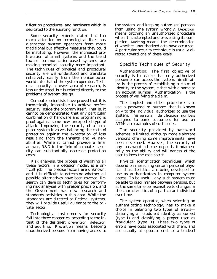tification procedures, and hardware which is dedicated to the auditing function.

Some security experts claim that too much attention on technological fixes has distracted system operators from more traditional but effective measures they could be instituting. However, the increased proliferation of small systems and the trend toward communication-based systems are making technical security more important. The techniques of physical and procedural security are well-understood and translate relatively easily from the noncomputer world into that of the system operator. Technical security, a newer area of research, is less understood, but is related directly to the problems of system design.

Computer scientists have proved that it is theoretically impossible to achieve perfect security inside the program itself. That is, it cannot be demonstrated that any particular combination of hardware and programing is proof against some new unexpected type of attack. Improving the security of a computer system involves balancing the costs of protection against the expectation of loss resulting from the threats and vulnerabilities. While it cannot provide a final answer, R&D in the field of computer security can substantially decrease protection costs.

Risk analysis, the process of weighing all these factors in a decision model, is a difficult job. The precise factors are unknown, and it is difficult to determine whether all possible alternatives have been covered. Research can develop techniques for performing risk analyses with greater precision, and the Government has new research and standards activities in this area. While the standards are directed at Federal systems, they will provide useful guidance to the private sector.

Technological instruments for security fall into three categories, according to the intent of the designer: *prevention, detection* and *auditing. Prevention* means keeping unauthorized persons from having access to the system, and keeping authorized persons from using the system wrongly. *Detection* means catching an unauthorized procedure when it is attempted and preventing its completion. *Auditing* means the determination of whether unauthorized acts have occurred. A particular security technique is usually directed toward one of these goals.

### Specific Techniques of Security

Authentication: The first objective of security is to assure that only authorized personnel can access the system. *Identification* is the process of establishing a claim of identity to the system, either with a name or an account number. *Authentication* is the process of verifying the claim.

The simplest and oldest procedure is to use a password or number that is known only to the individual authorized to use the system. The *personal identification numbers* assigned to bank customers for use on ATMs are examples of such codes.

The security provided by password schemes is limited, although more elaborate versions offering some improvements have been developed. However, the security of any password scheme depends fundamentally on the ability and willingness of the user to keep the code secret.

Physical identification techniques, which depend on measuring certain personal physical characteristics, are being developed for use as authenticators in computer system access. To be useful, any such system must be able to discriminate between persons, but at the same time be insensitive to changes in the characteristics of a particular individual over time.

The system operator, when selecting an authenticating technology, has to make a choice in balancing two types of errors classifying a fraudulent identity as correct (type I) and classifying a proper user as fraudulent (type II). These two types of errors have costs associated with them, and are usually at opposite ends of a tradeoff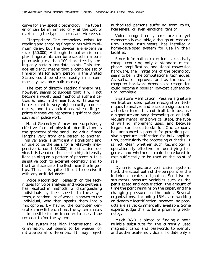curve for any specific technology. The type I error can be minimized only at the cost of maximizing the type I I error, and vice versa.

Fingerprints: The technology exists for reading and encoding fingerprints with minimum delay, but the devices are expensive (over \$50,000). Although the pattern is complex, fingerprints can be encoded in a computer using less than 100 characters by storing only certain key data points. This storage efficiency means that a complete set of fingerprints for every person in the United States could be stored easily in a commercially available bulk memory.

The cost of directly reading fingerprints, however, seems to suggest that it will not become a widely used method of authentication, at least in the near future. Its use will be restricted to very high security requirements, and to applications where fingerprints themselves represent significant data, such as in police work.

Hand Geometry: A new and surprisingly effective form of physical identification is the geometry of the hand. Individual finger lengths vary from one person to another. This variance is sufficiently significant and unique to be the basis for a relatively inexpensive (around \$3,000) identification device. It is based on the use of a high intensity light shining on a pattern of photocells. It is sensitive both to external geometry and to the translucence of the flesh near the fingertips. Thus, it is quite difficult to deceive it with any artificial device.

Voice Recognition: Research on the techniques for voice analysis and voice synthesis has resulted in methods for distinguishing individuals by their speech. In these systems, a random list of words is shown to the individual, who then speaks them into a microphone. By having the computer generate a new list each time, the system makes it impossible for an imposter to use a tape recorder to fool the system.

The system has high interpersonal discrimination, but seems to be weaker on intrapersonal differences. It may reject authorized persons suffering from colds, hoarseness, or even emotional tension.

Voice recognition systems are not yet commercially available, although at least one firm, Texas Instruments, has installed a home-developed system for use in their facilities.

Since information collection is relatively cheap, requiring only a standard microphone, amplification, and signal conversion hardware, the limitations of the technology seem to be in the computational techniques. As software improves, and as the cost of computer hardware drops, voice recognition could become a popular low-cost authentication technique.

Signature Verification: Passive signature verification uses pattern-recognition techniques to analyze and encode a signature on a check or form. It is a difficult task, because a signature can vary depending on an individual's mental and physical state, the type of writing implement used, and because forgers can be quite skillful. One company has announced a product for providing passive signature verification for bulk application, particularly the processing of checks. It is not clear whether such technology is operationally effective in identifying forgeries, and whether it could be reduced in cost sufficiently to be used at the point of sale.

Dynamic signature verification systems track the actual path of the pen point as the individual creates a signature. Sensitive instruments measure variables such as the pen's speed and acceleration, the amount of time the point remains on the paper, and the changing pressure on the point. Several organizations, including IBM, are working on dynamic identification; however, no products are as yet commercially available. Some experts judge this to be a promising technology.

Much R&D is aimed at finding a more reliable substitute for the currently used magnetic cards and passwords to identify and authenticate individuals. To date only a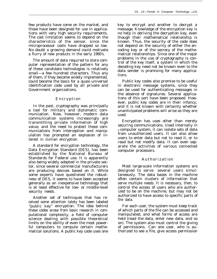few products have come on the market, and those have been designed for use in applications with very high security requirements. The cost limitation seems to depend on the characteristics of the sensor, since the microprocessor costs have dropped so low. No doubt a growing demand could motivate a flurry of new products in the early 1980's.

The amount of data required to store computer representation of the pattern for any of these candidate technologies is relatively small—a few hundred characters. Thus any of them, if they become widely implemented, could become the basis for a quasi-universal identification code used by all private and Government organizations.

#### Encryption

In the past, cryptography was principally a tool for military and diplomatic communication. Now, however, modern data communication systems increasingly are transmitting private information of high value, and the need to protect these communications from interception and manipulation has prompted an explosion of interest in civilian encryption.

A standard for encryption technology, the Data Encryption Standard (DES), has been established by the National Bureau of Standards for Federal use. It is apparently also being widely adopted in the private sector, since several commercial manufacturers are producing devices based on it. While some experts have questioned the robustness of DES, it seems to have been accepted generally as an inexpensive technology that is at least effective for low- or middle-level security needs.

Another set of techniques that has received some attention lately has been labeled "public key" encryption. The idea behind these codes arose from basic research in computational complexity, a field of computer science dealing with possible theoretical limits on the ability of even the most powerful computers to compute certain mathematical solutions. A public key code uses one

key to encrypt and another to decrypt a message. Knowledge of the encryption key is no help in deriving the decryption key, even though their mathematical relationship is known. Thus, the security of the code does not depend on the security of either the encoding key or of the secrecy of the mathematical relationships. Since one of the major problems in the use of cryptography is control of the key itself, a system in which the decoding key need not be known even to the data sender is promising for many applications.

Public key codes also promise to be useful in electronic message systems, since they can be used for authenticating messages in the absence of signatures. Several applications of this sort have been proposed. However, public key codes are in their infancy, and it is not known with certainty whether unanticipated problems will arise as they are used.

Encryption has uses other than merely securing communications. Used internally in *<sup>a</sup>*computer system, it can isolate sets of data from unauthorized users. It can also allow users to enter data but not to read it, or to read but not modify data. It can even separate the activities of various connected computer processors.

#### **Authorization**

Most large-scale information systems are designed to serve several users simultaneously. The data bases in the machine often contain clusters of information that serve multiple needs. It is necessary, then, to control the access of users who are authorized to be on the machine, but may not be authorized to have access to specific parts of the data.

For each user, the system must keep track of which parts of the file can be accessed and manipulated, and what forms of access are held (read the data, enter new data, and so on). The system also must control the giving of permissions. Can one user, who is authorized to see a file, give access permission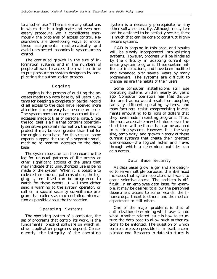to another user? There are many situations in which this is a legitimate and even necessary procedure, yet it complicates enormously the problems of access control. Researchers are developing ways to model these assignments mathematically and avoid unexpected loopholes in system access control.

The continued growth in the size of information systems and in the numbers of people allowed to access them will continue to put pressure on system designers by complicating the authorization process.

#### Loggin g

Logging is the process of auditing the accesses made to a data base by all users. Systems for keeping a complete or partial record of all access to the data have received more attention since privacy has become an issue. The system operator needs to account for all accesses made to files of personal data. Since the log itself is a file that contains potentially sensitive personal information, the need to protect it may be even greater than that for the original data base. For this reason, some experts suggest the use of a separate small machine to monitor accesses to the data base.

The system operator can then examine the log for unusual patterns of file access or other significant actions of the users that may indicate that unauthorized use is being made of the system. When it is possible to code certain unusual patterns of use, the logging system itself can be programed to watch for those events. It will then either send a warning to the system operator, or call on a special security surveillance program that collects as much detailed information as possible about the transaction.

#### Operating Systems

The operating system of a computer, the set of programs that control its work, is the fundamental piece of software on which all other application programs depend. Consequently, the integrity of the operating system is a necessary prerequisite for any other software security. Although no system can be designed to be perfectly secure, there is much that can be done to construct highly secure systems.

R&D is ongoing in this area, and results will be slowly incorporated into existing systems. However, progress will be hindered by the difficulty in adapting current operating system programs. These contain millions of instructions, and have been modified and expanded over several years by many programmers. The systems are difficult to change, as are the habits of their users.

Some computer installations still use operating systems written nearly 20 years ago. Computer operators fear that disruption and trauma would result from adopting radically different operating systems, and manufacturers resist compromising investments amounting to billions of dollars that they have made in existing programs. Thus, the most acceptable new techniques over the short term will be those that can be adapted to existing systems. However, it is the very size, complexity, and growth history of these current systems that create their greatest weaknesses—the logical holes and flaws through which a determined outsider can gain access.

#### Data Base Security

As data bases grow larger and are designed to serve multiple purposes, the likelihood increases that system operators will want to grant selective access. The problem is difficult. In an employee data base, for example, it may be desired to allow the personnel department access to some records, the finance department to others, and the medical department to still others.

One of the major problems is that of authorization determining which user can do what. Another related issue is how to structure the data base to allow such authorizations to be enforced. The question of which controls are even possible is, in itself, a complicated one. Research in data structures is